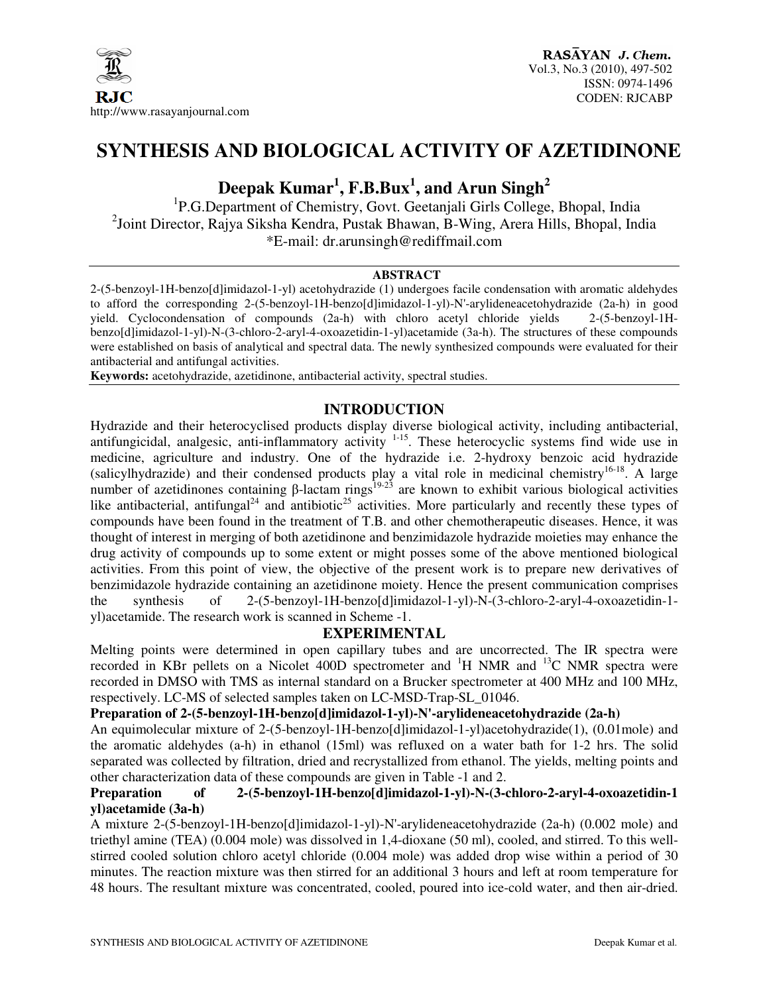

## **SYNTHESIS AND BIOLOGICAL ACTIVITY OF AZETIDINONE**

# **Deepak Kumar<sup>1</sup> , F.B.Bux<sup>1</sup> , and Arun Singh<sup>2</sup>**

<sup>1</sup>P.G.Department of Chemistry, Govt. Geetanjali Girls College, Bhopal, India <sup>2</sup>Joint Director, Rajya Siksha Kendra, Pustak Bhawan, B-Wing, Arera Hills, Bhopal, India \*E-mail: dr.arunsingh@rediffmail.com

#### **ABSTRACT**

2-(5-benzoyl-1H-benzo[d]imidazol-1-yl) acetohydrazide (1) undergoes facile condensation with aromatic aldehydes to afford the corresponding 2-(5-benzoyl-1H-benzo[d]imidazol-1-yl)-N'-arylideneacetohydrazide (2a-h) in good yield. Cyclocondensation of compounds (2a-h) with chloro acetyl chloride yields 2-(5-benzoyl-1Hbenzo[d]imidazol-1-yl)-N-(3-chloro-2-aryl-4-oxoazetidin-1-yl)acetamide (3a-h). The structures of these compounds were established on basis of analytical and spectral data. The newly synthesized compounds were evaluated for their antibacterial and antifungal activities.

**Keywords:** acetohydrazide, azetidinone, antibacterial activity, spectral studies.

## **INTRODUCTION**

Hydrazide and their heterocyclised products display diverse biological activity, including antibacterial, antifungicidal, analgesic, anti-inflammatory activity  $1-15$ . These heterocyclic systems find wide use in medicine, agriculture and industry. One of the hydrazide i.e. 2-hydroxy benzoic acid hydrazide (salicylhydrazide) and their condensed products play a vital role in medicinal chemistry<sup>16-18</sup>. A large number of azetidinones containing β-lactam rings<sup>19-23</sup> are known to exhibit various biological activities like antibacterial, antifungal<sup>24</sup> and antibiotic<sup>25</sup> activities. More particularly and recently these types of compounds have been found in the treatment of T.B. and other chemotherapeutic diseases. Hence, it was thought of interest in merging of both azetidinone and benzimidazole hydrazide moieties may enhance the drug activity of compounds up to some extent or might posses some of the above mentioned biological activities. From this point of view, the objective of the present work is to prepare new derivatives of benzimidazole hydrazide containing an azetidinone moiety. Hence the present communication comprises the synthesis of 2-(5-benzoyl-1H-benzo[d]imidazol-1-yl)-N-(3-chloro-2-aryl-4-oxoazetidin-1 yl)acetamide. The research work is scanned in Scheme -1.

## **EXPERIMENTAL**

Melting points were determined in open capillary tubes and are uncorrected. The IR spectra were recorded in KBr pellets on a Nicolet 400D spectrometer and <sup>1</sup>H NMR and <sup>13</sup>C NMR spectra were recorded in DMSO with TMS as internal standard on a Brucker spectrometer at 400 MHz and 100 MHz, respectively. LC-MS of selected samples taken on LC-MSD-Trap-SL\_01046.

#### Preparation of 2-(5-benzoyl-1H-benzo[d]imidazol-1-yl)-N'-arylideneacetohydrazide (2a-h)

An equimolecular mixture of 2-(5-benzoyl-1H-benzo[d]imidazol-1-yl)acetohydrazide(1), (0.01mole) and the aromatic aldehydes (a-h) in ethanol (15ml) was refluxed on a water bath for 1-2 hrs. The solid separated was collected by filtration, dried and recrystallized from ethanol. The yields, melting points and other characterization data of these compounds are given in Table -1 and 2.

### **Preparation of 2-(5-benzoyl-1H-benzo[d]imidazol-1-yl)-N-(3-chloro-2-aryl-4-oxoazetidin-1 yl)acetamide (3a-h)**

A mixture 2-(5-benzoyl-1H-benzo[d]imidazol-1-yl)-N'-arylideneacetohydrazide (2a-h) (0.002 mole) and triethyl amine (TEA) (0.004 mole) was dissolved in 1,4-dioxane (50 ml), cooled, and stirred. To this wellstirred cooled solution chloro acetyl chloride (0.004 mole) was added drop wise within a period of 30 minutes. The reaction mixture was then stirred for an additional 3 hours and left at room temperature for 48 hours. The resultant mixture was concentrated, cooled, poured into ice-cold water, and then air-dried.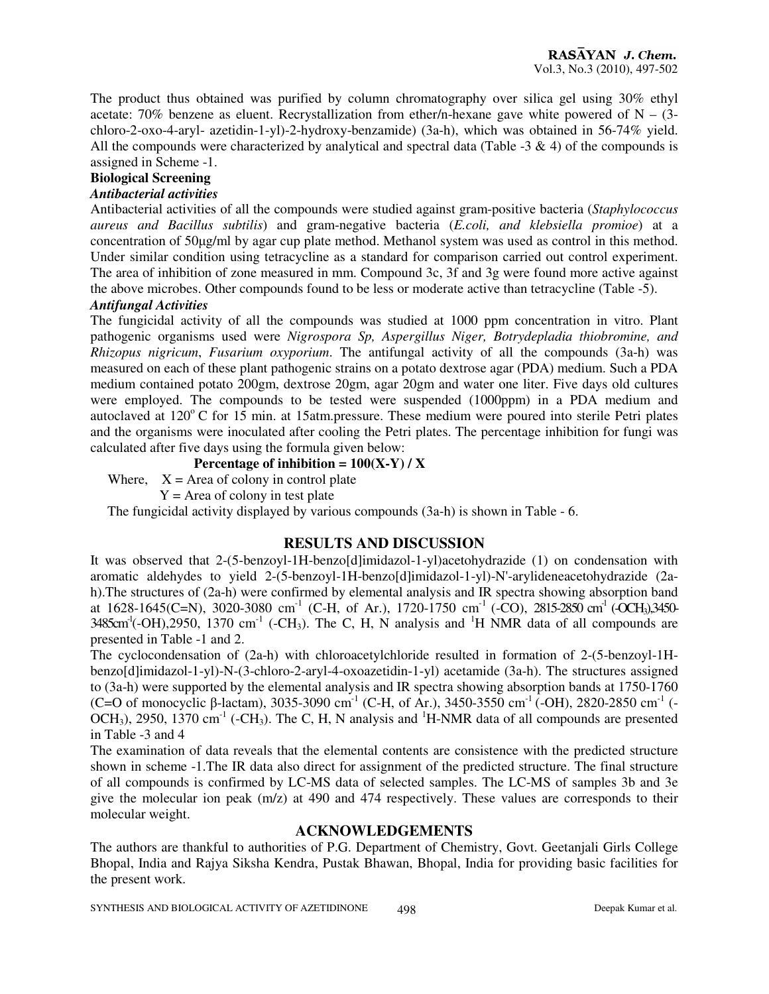The product thus obtained was purified by column chromatography over silica gel using 30% ethyl acetate: 70% benzene as eluent. Recrystallization from ether/n-hexane gave white powered of  $N - (3$ chloro-2-oxo-4-aryl- azetidin-1-yl)-2-hydroxy-benzamide) (3a-h), which was obtained in 56-74% yield. All the compounds were characterized by analytical and spectral data (Table  $-3 \& 4$ ) of the compounds is assigned in Scheme -1.

#### **Biological Screening**

#### *Antibacterial activities*

Antibacterial activities of all the compounds were studied against gram-positive bacteria (*Staphylococcus aureus and Bacillus subtilis*) and gram-negative bacteria (*E.coli, and klebsiella promioe*) at a concentration of 50µg/ml by agar cup plate method. Methanol system was used as control in this method. Under similar condition using tetracycline as a standard for comparison carried out control experiment. The area of inhibition of zone measured in mm. Compound 3c, 3f and 3g were found more active against the above microbes. Other compounds found to be less or moderate active than tetracycline (Table -5).

### *Antifungal Activities*

The fungicidal activity of all the compounds was studied at 1000 ppm concentration in vitro. Plant pathogenic organisms used were *Nigrospora Sp, Aspergillus Niger, Botrydepladia thiobromine, and Rhizopus nigricum*, *Fusarium oxyporium*. The antifungal activity of all the compounds (3a-h) was measured on each of these plant pathogenic strains on a potato dextrose agar (PDA) medium. Such a PDA medium contained potato 200gm, dextrose 20gm, agar 20gm and water one liter. Five days old cultures were employed. The compounds to be tested were suspended (1000ppm) in a PDA medium and autoclaved at  $120^{\circ}$  C for 15 min. at 15atm.pressure. These medium were poured into sterile Petri plates and the organisms were inoculated after cooling the Petri plates. The percentage inhibition for fungi was calculated after five days using the formula given below:

#### **Percentage of inhibition =**  $100(X-Y) / X$

Where,  $X =$  Area of colony in control plate

 $Y =$  Area of colony in test plate

The fungicidal activity displayed by various compounds (3a-h) is shown in Table - 6.

## **RESULTS AND DISCUSSION**

It was observed that 2-(5-benzoyl-1H-benzo[d]imidazol-1-yl)acetohydrazide (1) on condensation with aromatic aldehydes to yield 2-(5-benzoyl-1H-benzo[d]imidazol-1-yl)-N'-arylideneacetohydrazide (2ah).The structures of (2a-h) were confirmed by elemental analysis and IR spectra showing absorption band at 1628-1645(C=N), 3020-3080 cm<sup>-1</sup> (C-H, of Ar.), 1720-1750 cm<sup>-1</sup> (-CO), 2815-2850 cm<sup>-1</sup> (-OCH<sub>3</sub>),3450- $3485 \text{cm}^1(-OH)$ ,  $2950$ ,  $1370 \text{ cm}^{-1}$  ( $-CH_3$ ). The C, H, N analysis and  $H$  NMR data of all compounds are presented in Table -1 and 2.

The cyclocondensation of (2a-h) with chloroacetylchloride resulted in formation of 2-(5-benzoyl-1Hbenzo[d]imidazol-1-yl)-N-(3-chloro-2-aryl-4-oxoazetidin-1-yl) acetamide (3a-h). The structures assigned to (3a-h) were supported by the elemental analysis and IR spectra showing absorption bands at 1750-1760 (C=O of monocyclic β-lactam), 3035-3090 cm<sup>-1</sup> (C-H, of Ar.), 3450-3550 cm<sup>-1</sup> (-OH), 2820-2850 cm<sup>-1</sup> (-OCH<sub>3</sub>), 2950, 1370 cm<sup>-1</sup> (-CH<sub>3</sub>). The C, H, N analysis and <sup>1</sup>H-NMR data of all compounds are presented in Table -3 and 4

The examination of data reveals that the elemental contents are consistence with the predicted structure shown in scheme -1.The IR data also direct for assignment of the predicted structure. The final structure of all compounds is confirmed by LC-MS data of selected samples. The LC-MS of samples 3b and 3e give the molecular ion peak (m/z) at 490 and 474 respectively. These values are corresponds to their molecular weight.

#### **ACKNOWLEDGEMENTS**

The authors are thankful to authorities of P.G. Department of Chemistry, Govt. Geetanjali Girls College Bhopal, India and Rajya Siksha Kendra, Pustak Bhawan, Bhopal, India for providing basic facilities for the present work.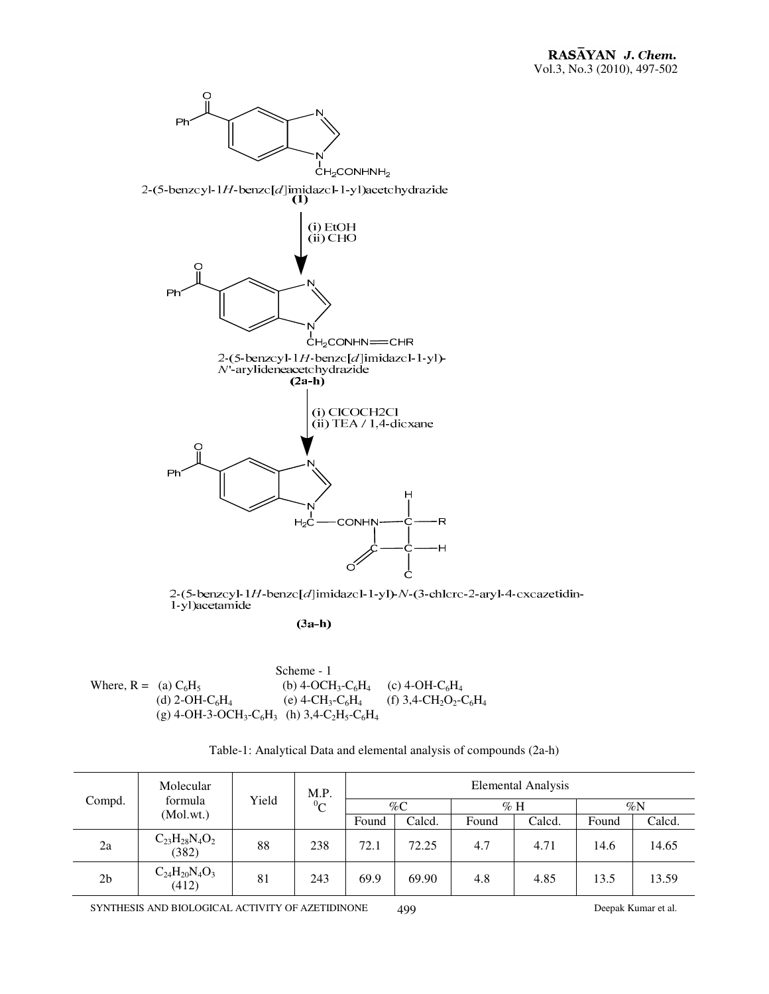

2-(5-benzcyl-1H-benzc[ $d$ ]imidazcl-1-yl)- $N$ -(3-chlcrc-2-aryl-4-cxcazetidin-1-yl)acetamide

 $(3a-h)$ 

|                         |                                                                                                                                 | Scheme - 1                                            |                                                                       |
|-------------------------|---------------------------------------------------------------------------------------------------------------------------------|-------------------------------------------------------|-----------------------------------------------------------------------|
| Where, $R = (a) C_6H_5$ |                                                                                                                                 | (b) 4-OCH <sub>3</sub> -C <sub>6</sub> H <sub>4</sub> | (c) 4-OH-C <sub>6</sub> H <sub>4</sub>                                |
|                         | (d) 2-OH-C <sub>6</sub> H <sub>4</sub>                                                                                          | (e) 4-CH <sub>3</sub> -C <sub>6</sub> H <sub>4</sub>  | (f) 3,4-CH <sub>2</sub> O <sub>2</sub> -C <sub>6</sub> H <sub>4</sub> |
|                         | (g) 4-OH-3-OCH <sub>3</sub> -C <sub>6</sub> H <sub>3</sub> (h) 3,4-C <sub>2</sub> H <sub>5</sub> -C <sub>6</sub> H <sub>4</sub> |                                                       |                                                                       |

Table-1: Analytical Data and elemental analysis of compounds (2a-h)

| Compd.         | Molecular                         |       | M.P.<br>${}^{0}C$ | Elemental Analysis |        |       |        |       |        |
|----------------|-----------------------------------|-------|-------------------|--------------------|--------|-------|--------|-------|--------|
|                | formula<br>(Mol.wt.)              | Yield |                   |                    | $\%C$  |       | $\%$ H |       | $\%N$  |
|                |                                   |       |                   | Found              | Calcd. | Found | Calcd. | Found | Calcd. |
| 2a             | $C_{23}H_{28}N_4O_2$<br>(382)     | 88    | 238               | 72.1               | 72.25  | 4.7   | 4.71   | 14.6  | 14.65  |
| 2 <sub>b</sub> | $C_{24}H_{20}N_{4}O_{3}$<br>(412) | 81    | 243               | 69.9               | 69.90  | 4.8   | 4.85   | 13.5  | 13.59  |

SYNTHESIS AND BIOLOGICAL ACTIVITY OF AZETIDINONE 499 Deepak Kumar et al.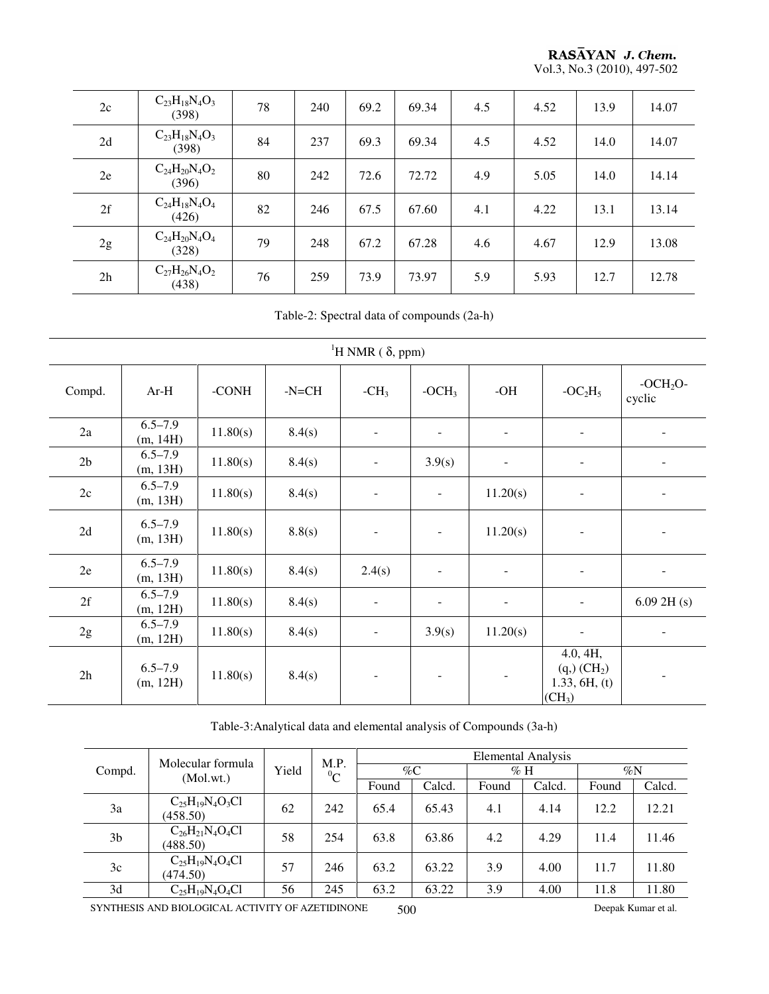**RASAYAN J. Chem.**<br>Vol.3, No.3 (2010), 497-502

| 2c | $C_{23}H_{18}N_4O_3$<br>(398)     | 78 | 240 | 69.2 | 69.34 | 4.5 | 4.52 | 13.9 | 14.07 |
|----|-----------------------------------|----|-----|------|-------|-----|------|------|-------|
| 2d | $C_{23}H_{18}N_4O_3$<br>(398)     | 84 | 237 | 69.3 | 69.34 | 4.5 | 4.52 | 14.0 | 14.07 |
| 2e | $C_{24}H_{20}N_{4}O_{2}$<br>(396) | 80 | 242 | 72.6 | 72.72 | 4.9 | 5.05 | 14.0 | 14.14 |
| 2f | $C_{24}H_{18}N_4O_4$<br>(426)     | 82 | 246 | 67.5 | 67.60 | 4.1 | 4.22 | 13.1 | 13.14 |
| 2g | $C_{24}H_{20}N_4O_4$<br>(328)     | 79 | 248 | 67.2 | 67.28 | 4.6 | 4.67 | 12.9 | 13.08 |
| 2h | $C_{27}H_{26}N_4O_2$<br>(438)     | 76 | 259 | 73.9 | 73.97 | 5.9 | 5.93 | 12.7 | 12.78 |

Table-2: Spectral data of compounds (2a-h)

|                | <sup>1</sup> H NMR ( $\delta$ , ppm) |          |         |                          |                          |                          |                                                                           |                                |  |  |  |  |  |
|----------------|--------------------------------------|----------|---------|--------------------------|--------------------------|--------------------------|---------------------------------------------------------------------------|--------------------------------|--|--|--|--|--|
| Compd.         | $Ar-H$                               | -CONH    | $-NECH$ | $-CH3$                   | $-OCH3$                  | $-OH$                    | $-OC2H5$                                                                  | -OCH <sub>2</sub> O-<br>cyclic |  |  |  |  |  |
| 2a             | $6.5 - 7.9$<br>(m, 14H)              | 11.80(s) | 8.4(s)  | $\overline{\phantom{a}}$ | $\overline{\phantom{a}}$ |                          | -                                                                         |                                |  |  |  |  |  |
| 2 <sub>b</sub> | $6.5 - 7.9$<br>(m, 13H)              | 11.80(s) | 8.4(s)  | $\overline{\phantom{a}}$ | 3.9(s)                   |                          | -                                                                         |                                |  |  |  |  |  |
| 2c             | $6.5 - 7.9$<br>(m, 13H)              | 11.80(s) | 8.4(s)  | $\overline{\phantom{0}}$ | $\overline{\phantom{a}}$ | 11.20(s)                 | -                                                                         |                                |  |  |  |  |  |
| 2d             | $6.5 - 7.9$<br>(m, 13H)              | 11.80(s) | 8.8(s)  | $\blacksquare$           | $\overline{\phantom{a}}$ | 11.20(s)                 | $\overline{\phantom{0}}$                                                  |                                |  |  |  |  |  |
| 2e             | $6.5 - 7.9$<br>(m, 13H)              | 11.80(s) | 8.4(s)  | 2.4(s)                   | $\overline{\phantom{a}}$ | $\overline{\phantom{a}}$ | $\overline{\phantom{a}}$                                                  |                                |  |  |  |  |  |
| 2f             | $6.5 - 7.9$<br>(m, 12H)              | 11.80(s) | 8.4(s)  | $\overline{\phantom{a}}$ | ۰                        |                          | $\overline{\phantom{a}}$                                                  | $6.09$ 2H (s)                  |  |  |  |  |  |
| 2g             | $6.5 - 7.9$<br>(m, 12H)              | 11.80(s) | 8.4(s)  | $\overline{\phantom{a}}$ | 3.9(s)                   | 11.20(s)                 | $\overline{\phantom{a}}$                                                  |                                |  |  |  |  |  |
| 2h             | $6.5 - 7.9$<br>(m, 12H)              | 11.80(s) | 8.4(s)  | $\overline{\phantom{a}}$ | $\overline{\phantom{a}}$ |                          | 4.0, 4H,<br>(q,)(CH <sub>2</sub> )<br>1.33, 6H, (t)<br>(CH <sub>3</sub> ) |                                |  |  |  |  |  |

Table-3:Analytical data and elemental analysis of Compounds (3a-h)

|                | Molecular formula                  |       | M.P. | <b>Elemental Analysis</b> |        |        |        |       |        |  |
|----------------|------------------------------------|-------|------|---------------------------|--------|--------|--------|-------|--------|--|
| Compd.         | (Mol.wt.)                          | Yield |      | $\%C$<br>${}^{0}C$        |        | $\%$ H |        | $\%N$ |        |  |
|                |                                    |       |      | Found                     | Calcd. | Found  | Calcd. | Found | Calcd. |  |
| 3a             | $C_{25}H_{19}N_4O_3Cl$<br>(458.50) | 62    | 242  | 65.4                      | 65.43  | 4.1    | 4.14   | 12.2  | 12.21  |  |
| 3 <sub>b</sub> | $C_{26}H_{21}N_4O_4Cl$<br>(488.50) | 58    | 254  | 63.8                      | 63.86  | 4.2    | 4.29   | 11.4  | 11.46  |  |
| 3c             | $C_{25}H_{19}N_4O_4Cl$<br>(474.50) | 57    | 246  | 63.2                      | 63.22  | 3.9    | 4.00   | 11.7  | 11.80  |  |
| 3d             | $C_{25}H_{19}N_4O_4Cl$             | 56    | 245  | 63.2                      | 63.22  | 3.9    | 4.00   | 11.8  | 11.80  |  |

SYNTHESIS AND BIOLOGICAL ACTIVITY OF AZETIDINONE 500 Deepak Kumar et al.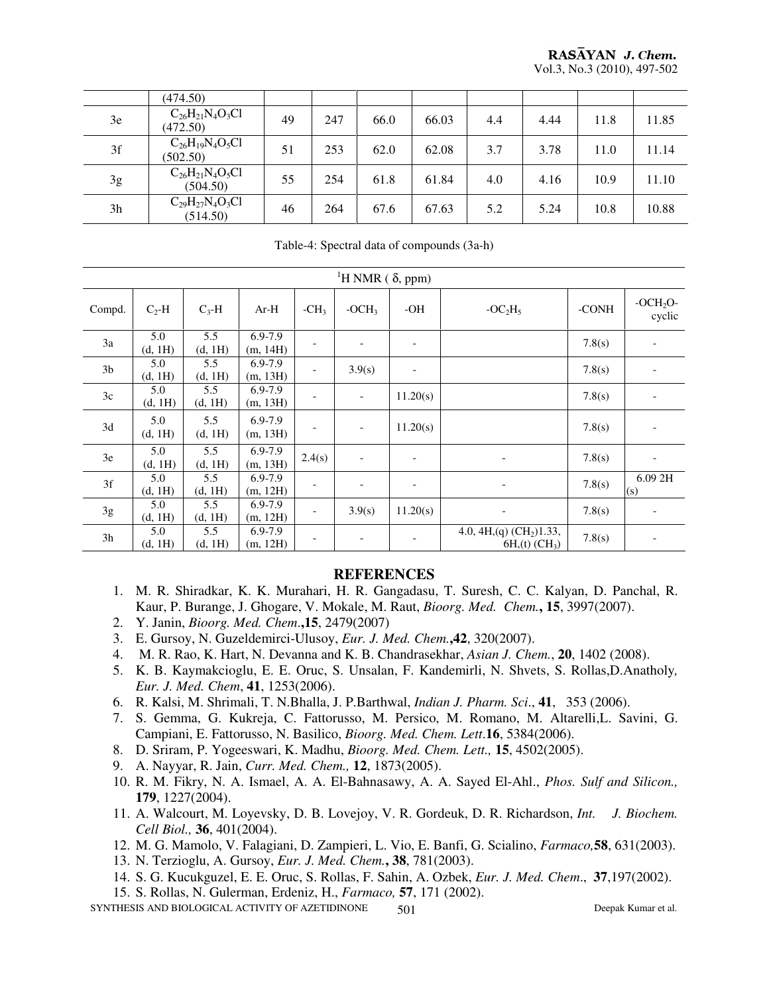|    | (474.50)                           |    |     |      |       |     |      |      |       |
|----|------------------------------------|----|-----|------|-------|-----|------|------|-------|
| 3e | $C_{26}H_{21}N_4O_3Cl$<br>(472.50) | 49 | 247 | 66.0 | 66.03 | 4.4 | 4.44 | 11.8 | 11.85 |
| 3f | $C_{26}H_{19}N_4O_5Cl$<br>(502.50) | 51 | 253 | 62.0 | 62.08 | 3.7 | 3.78 | 11.0 | 11.14 |
| 3g | $C_{26}H_{21}N_4O_5Cl$<br>(504.50) | 55 | 254 | 61.8 | 61.84 | 4.0 | 4.16 | 10.9 | 11.10 |
| 3h | $C_{29}H_{27}N_4O_3Cl$<br>(514.50) | 46 | 264 | 67.6 | 67.63 | 5.2 | 5.24 | 10.8 | 10.88 |

Table-4: Spectral data of compounds (3a-h)

|                | <sup>1</sup> H NMR ( $\delta$ , ppm) |                |                         |        |                          |                          |                                                    |        |                          |  |  |  |
|----------------|--------------------------------------|----------------|-------------------------|--------|--------------------------|--------------------------|----------------------------------------------------|--------|--------------------------|--|--|--|
| Compd.         | $C_2-H$                              | $C_3-H$        | $Ar-H$                  | $-CH3$ | $-OCH3$                  | -OH                      | $-OC2H5$                                           | -CONH  | $-OCH2O-$<br>cyclic      |  |  |  |
| 3a             | 5.0<br>(d, 1H)                       | 5.5<br>(d, 1H) | 6.9-7.9<br>(m, 14H)     |        |                          | $\overline{\phantom{a}}$ |                                                    | 7.8(s) |                          |  |  |  |
| 3 <sub>b</sub> | 5.0<br>(d, 1H)                       | 5.5<br>(d, 1H) | $6.9 - 7.9$<br>(m, 13H) |        | 3.9(s)                   | $\overline{\phantom{a}}$ |                                                    | 7.8(s) |                          |  |  |  |
| 3c             | 5.0<br>(d, 1H)                       | 5.5<br>(d, 1H) | $6.9 - 7.9$<br>(m, 13H) |        |                          | 11.20(s)                 |                                                    | 7.8(s) |                          |  |  |  |
| 3d             | 5.0<br>(d, 1H)                       | 5.5<br>(d, 1H) | $6.9 - 7.9$<br>(m, 13H) |        | $\overline{\phantom{a}}$ | 11.20(s)                 |                                                    | 7.8(s) |                          |  |  |  |
| 3e             | 5.0<br>(d, 1H)                       | 5.5<br>(d, 1H) | $6.9 - 7.9$<br>(m, 13H) | 2.4(s) | $\overline{\phantom{a}}$ | $\overline{\phantom{a}}$ | $\overline{\phantom{a}}$                           | 7.8(s) | $\overline{\phantom{a}}$ |  |  |  |
| 3f             | 5.0<br>(d, 1H)                       | 5.5<br>(d, 1H) | 6.9-7.9<br>(m, 12H)     |        | $\overline{\phantom{a}}$ | $\overline{\phantom{a}}$ | $\overline{\phantom{a}}$                           | 7.8(s) | 6.092H<br>(s)            |  |  |  |
| 3g             | 5.0<br>(d, 1H)                       | 5.5<br>(d, 1H) | $6.9 - 7.9$<br>(m, 12H) |        | 3.9(s)                   | 11.20(s)                 | $\overline{\phantom{a}}$                           | 7.8(s) |                          |  |  |  |
| 3h             | 5.0<br>(d, 1H)                       | 5.5<br>(d, 1H) | 6.9-7.9<br>(m, 12H)     |        |                          | -                        | 4.0, 4H, (q) $(CH2)1.33$ ,<br>$6H_{1}(t) (CH_{3})$ | 7.8(s) |                          |  |  |  |

#### **REFERENCES**

- 1. M. R. Shiradkar, K. K. Murahari, H. R. Gangadasu, T. Suresh, C. C. Kalyan, D. Panchal, R. Kaur, P. Burange, J. Ghogare, V. Mokale, M. Raut, *Bioorg. Med. Chem.***, 15**, 3997(2007).
- 2. Y. Janin, *Bioorg. Med. Chem*.**,15**, 2479(2007)
- 3. E. Gursoy, N. Guzeldemirci-Ulusoy, *Eur. J. Med. Chem.***,42**, 320(2007).
- 4. M. R. Rao, K. Hart, N. Devanna and K. B. Chandrasekhar, *Asian J. Chem.*, **20**, 1402 (2008).
- 5. K. B. Kaymakcioglu, E. E. Oruc, S. Unsalan, F. Kandemirli, N. Shvets, S. Rollas,D.Anatholy*, Eur. J. Med. Chem*, **41**, 1253(2006).
- 6. R. Kalsi, M. Shrimali, T. N.Bhalla, J. P.Barthwal, *Indian J. Pharm. Sci*., **41**, 353 (2006).
- 7. S. Gemma, G. Kukreja, C. Fattorusso, M. Persico, M. Romano, M. Altarelli,L. Savini, G. Campiani, E. Fattorusso, N. Basilico, *Bioorg. Med. Chem. Lett*.**16**, 5384(2006).
- 8. D. Sriram, P. Yogeeswari, K. Madhu, *Bioorg. Med. Chem. Lett.,* **15**, 4502(2005).
- 9. A. Nayyar, R. Jain, *Curr. Med. Chem.,* **12**, 1873(2005).
- 10. R. M. Fikry, N. A. Ismael, A. A. El-Bahnasawy, A. A. Sayed El-Ahl., *Phos. Sulf and Silicon.,* **179**, 1227(2004).
- 11. A. Walcourt, M. Loyevsky, D. B. Lovejoy, V. R. Gordeuk, D. R. Richardson, *Int. J. Biochem. Cell Biol.,* **36**, 401(2004).
- 12. M. G. Mamolo, V. Falagiani, D. Zampieri, L. Vio, E. Banfi, G. Scialino, *Farmaco,***58**, 631(2003).
- 13. N. Terzioglu, A. Gursoy, *Eur. J. Med. Chem.***, 38**, 781(2003).
- 14. S. G. Kucukguzel, E. E. Oruc, S. Rollas, F. Sahin, A. Ozbek, *Eur. J. Med. Chem*., **37**,197(2002).
- 15. S. Rollas, N. Gulerman, Erdeniz, H., *Farmaco,* **57**, 171 (2002).

SYNTHESIS AND BIOLOGICAL ACTIVITY OF AZETIDINONE 501 501 Deepak Kumar et al.